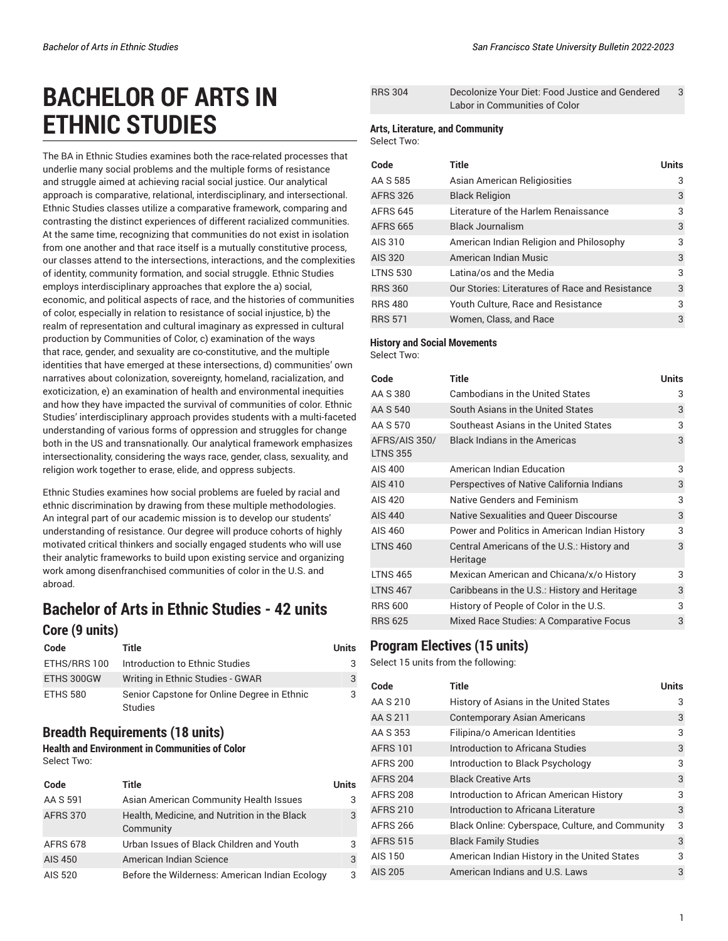# **BACHELOR OF ARTS IN ETHNIC STUDIES**

The BA in Ethnic Studies examines both the race-related processes that underlie many social problems and the multiple forms of resistance and struggle aimed at achieving racial social justice. Our analytical approach is comparative, relational, interdisciplinary, and intersectional. Ethnic Studies classes utilize a comparative framework, comparing and contrasting the distinct experiences of different racialized communities. At the same time, recognizing that communities do not exist in isolation from one another and that race itself is a mutually constitutive process, our classes attend to the intersections, interactions, and the complexities of identity, community formation, and social struggle. Ethnic Studies employs interdisciplinary approaches that explore the a) social, economic, and political aspects of race, and the histories of communities of color, especially in relation to resistance of social injustice, b) the realm of representation and cultural imaginary as expressed in cultural production by Communities of Color, c) examination of the ways that race, gender, and sexuality are co-constitutive, and the multiple identities that have emerged at these intersections, d) communities' own narratives about colonization, sovereignty, homeland, racialization, and exoticization, e) an examination of health and environmental inequities and how they have impacted the survival of communities of color. Ethnic Studies' interdisciplinary approach provides students with a multi-faceted understanding of various forms of oppression and struggles for change both in the US and transnationally. Our analytical framework emphasizes intersectionality, considering the ways race, gender, class, sexuality, and religion work together to erase, elide, and oppress subjects.

Ethnic Studies examines how social problems are fueled by racial and ethnic discrimination by drawing from these multiple methodologies. An integral part of our academic mission is to develop our students' understanding of resistance. Our degree will produce cohorts of highly motivated critical thinkers and socially engaged students who will use their analytic frameworks to build upon existing service and organizing work among disenfranchised communities of color in the U.S. and abroad.

# **Bachelor of Arts in Ethnic Studies - 42 units Core (9 units)**

| Code         | Title                                                         | Units |
|--------------|---------------------------------------------------------------|-------|
| ETHS/RRS 100 | Introduction to Ethnic Studies                                | 3     |
| ETHS 300GW   | Writing in Ethnic Studies - GWAR                              | 3     |
| ETHS 580     | Senior Capstone for Online Degree in Ethnic<br><b>Studies</b> | 3     |

## **Breadth Requirements (18 units)**

**Health and Environment in Communities of Color** Select Two:

| Code            | Title                                                     | Units |
|-----------------|-----------------------------------------------------------|-------|
| AA S 591        | Asian American Community Health Issues                    | 3     |
| <b>AFRS 370</b> | Health, Medicine, and Nutrition in the Black<br>Community | 3     |
| <b>AFRS 678</b> | Urban Issues of Black Children and Youth                  | 3     |
| AIS 450         | American Indian Science                                   | 3     |
| AIS 520         | Before the Wilderness: American Indian Ecology            | 3     |

| <b>RRS 304</b> | Decolonize Your Diet: Food Justice and Gendered |  |
|----------------|-------------------------------------------------|--|
|                | Labor in Communities of Color                   |  |

#### **Arts, Literature, and Community**

Select Two:

| Code            | Title                                           | Units |
|-----------------|-------------------------------------------------|-------|
| AA S 585        | Asian American Religiosities                    | 3     |
| <b>AFRS 326</b> | <b>Black Religion</b>                           | 3     |
| <b>AFRS 645</b> | Literature of the Harlem Renaissance            | 3     |
| <b>AFRS 665</b> | <b>Black Journalism</b>                         | 3     |
| AIS 310         | American Indian Religion and Philosophy         | 3     |
| AIS 320         | American Indian Music                           | 3     |
| <b>LTNS 530</b> | Latina/os and the Media                         | 3     |
| <b>RRS 360</b>  | Our Stories: Literatures of Race and Resistance | 3     |
| <b>RRS 480</b>  | Youth Culture, Race and Resistance              | 3     |
| <b>RRS 571</b>  | Women, Class, and Race                          | 3     |

#### **History and Social Movements**

Select Two:

| Code                             | <b>Title</b>                                           | <b>Units</b> |
|----------------------------------|--------------------------------------------------------|--------------|
| AA S 380                         | <b>Cambodians in the United States</b>                 | 3            |
| AA S 540                         | South Asians in the United States                      | 3            |
| AA S 570                         | Southeast Asians in the United States                  | 3            |
| AFRS/AIS 350/<br><b>LTNS 355</b> | <b>Black Indians in the Americas</b>                   | 3            |
| AIS 400                          | American Indian Education                              | 3            |
| AIS 410                          | Perspectives of Native California Indians              | 3            |
| AIS 420                          | Native Genders and Feminism                            | 3            |
| AIS 440                          | Native Sexualities and Queer Discourse                 | 3            |
| AIS 460                          | Power and Politics in American Indian History          | 3            |
| <b>LTNS 460</b>                  | Central Americans of the U.S.: History and<br>Heritage | 3            |
| <b>LTNS 465</b>                  | Mexican American and Chicana/x/o History               | 3            |
| <b>LTNS 467</b>                  | Caribbeans in the U.S.: History and Heritage           | 3            |
| <b>RRS 600</b>                   | History of People of Color in the U.S.                 | 3            |
| <b>RRS 625</b>                   | Mixed Race Studies: A Comparative Focus                | 3            |

### **Program Electives (15 units)**

Select 15 units from the following:

| Code            | <b>Title</b>                                     | <b>Units</b> |
|-----------------|--------------------------------------------------|--------------|
| AA S 210        | History of Asians in the United States           | 3            |
| AA S 211        | <b>Contemporary Asian Americans</b>              | 3            |
| AA S 353        | Filipina/o American Identities                   | 3            |
| <b>AFRS 101</b> | Introduction to Africana Studies                 | 3            |
| <b>AFRS 200</b> | Introduction to Black Psychology                 | 3            |
| <b>AFRS 204</b> | <b>Black Creative Arts</b>                       | 3            |
| <b>AFRS 208</b> | Introduction to African American History         | 3            |
| <b>AFRS 210</b> | Introduction to Africana Literature              | 3            |
| <b>AFRS 266</b> | Black Online: Cyberspace, Culture, and Community | 3            |
| <b>AFRS 515</b> | <b>Black Family Studies</b>                      | 3            |
| AIS 150         | American Indian History in the United States     | 3            |
| AIS 205         | American Indians and U.S. Laws                   | 3            |